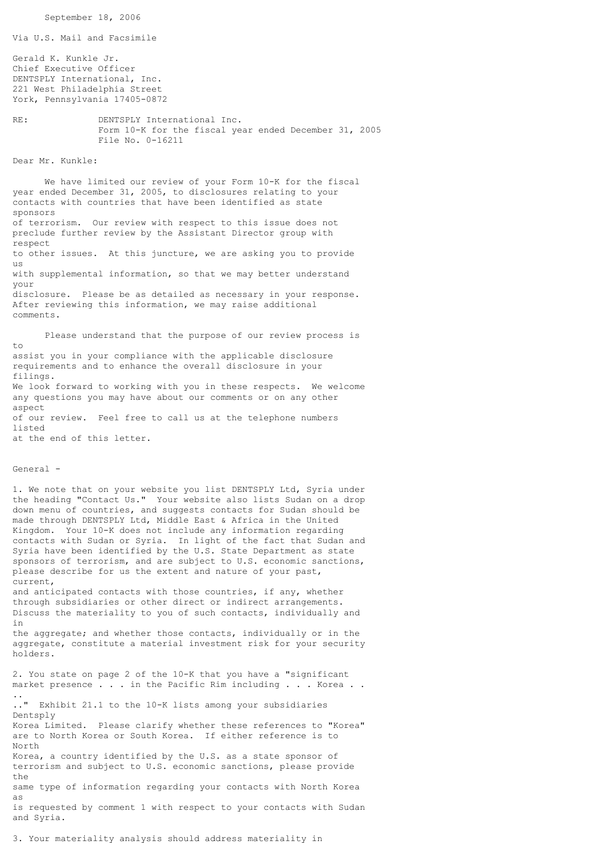```
 September 18, 2006
Via U.S. Mail and Facsimile
Gerald K. Kunkle Jr.
Chief Executive Officer
DENTSPLY International, Inc.
221 West Philadelphia Street
York, Pennsylvania 17405-0872
RE: DENTSPLY International Inc.
                Form 10-K for the fiscal year ended December 31, 2005
                File No. 0-16211
Dear Mr. Kunkle:
      We have limited our review of your Form 10-K for the fiscal
year ended December 31, 2005, to disclosures relating to your
contacts with countries that have been identified as state
sponsors
of terrorism. Our review with respect to this issue does not
preclude further review by the Assistant Director group with
respect
to other issues. At this juncture, we are asking you to provide
us
with supplemental information, so that we may better understand
your
disclosure. Please be as detailed as necessary in your response.
After reviewing this information, we may raise additional
comments.
       Please understand that the purpose of our review process is
to
assist you in your compliance with the applicable disclosure
requirements and to enhance the overall disclosure in your
filings.
We look forward to working with you in these respects. We welcome
any questions you may have about our comments or on any other
aspect
of our review. Feel free to call us at the telephone numbers
listed
at the end of this letter.
General -
1. We note that on your website you list DENTSPLY Ltd, Syria under
the heading "Contact Us." Your website also lists Sudan on a drop
down menu of countries, and suggests contacts for Sudan should be
made through DENTSPLY Ltd, Middle East & Africa in the United
Kingdom. Your 10-K does not include any information regarding
contacts with Sudan or Syria. In light of the fact that Sudan and
Syria have been identified by the U.S. State Department as state
sponsors of terrorism, and are subject to U.S. economic sanctions,
please describe for us the extent and nature of your past,
current,
and anticipated contacts with those countries, if any, whether
through subsidiaries or other direct or indirect arrangements.
Discuss the materiality to you of such contacts, individually and
in
the aggregate; and whether those contacts, individually or in the
aggregate, constitute a material investment risk for your security
holders.
2. You state on page 2 of the 10-K that you have a "significant
market presence . . . in the Pacific Rim including . . . Korea . .
..
.." Exhibit 21.1 to the 10-K lists among your subsidiaries
Dentsply
Korea Limited. Please clarify whether these references to "Korea"
are to North Korea or South Korea. If either reference is to
North
Korea, a country identified by the U.S. as a state sponsor of
terrorism and subject to U.S. economic sanctions, please provide
thesame type of information regarding your contacts with North Korea
as
is requested by comment 1 with respect to your contacts with Sudan
and Syria.
```
3. Your materiality analysis should address materiality in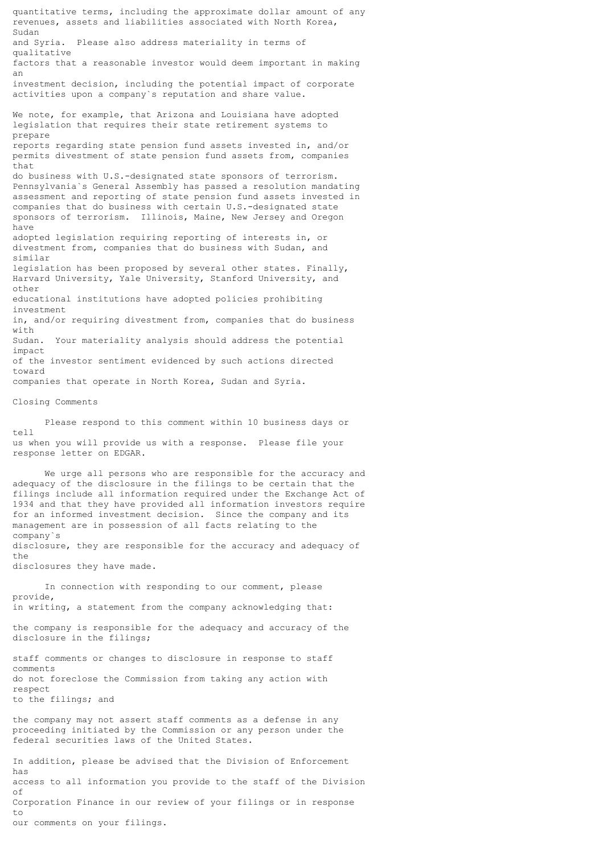quantitative terms, including the approximate dollar amount of any revenues, assets and liabilities associated with North Korea, Sudan and Syria. Please also address materiality in terms of qualitative factors that a reasonable investor would deem important in making an investment decision, including the potential impact of corporate activities upon a company`s reputation and share value. We note, for example, that Arizona and Louisiana have adopted legislation that requires their state retirement systems to prepare reports regarding state pension fund assets invested in, and/or permits divestment of state pension fund assets from, companies that do business with U.S.-designated state sponsors of terrorism. Pennsylvania`s General Assembly has passed a resolution mandating assessment and reporting of state pension fund assets invested in companies that do business with certain U.S.-designated state sponsors of terrorism. Illinois, Maine, New Jersey and Oregon have adopted legislation requiring reporting of interests in, or divestment from, companies that do business with Sudan, and similar legislation has been proposed by several other states. Finally, Harvard University, Yale University, Stanford University, and other educational institutions have adopted policies prohibiting investment in, and/or requiring divestment from, companies that do business with Sudan. Your materiality analysis should address the potential impact of the investor sentiment evidenced by such actions directed toward companies that operate in North Korea, Sudan and Syria. Closing Comments Please respond to this comment within 10 business days or tell us when you will provide us with a response. Please file your response letter on EDGAR. We urge all persons who are responsible for the accuracy and adequacy of the disclosure in the filings to be certain that the filings include all information required under the Exchange Act of 1934 and that they have provided all information investors require for an informed investment decision. Since the company and its management are in possession of all facts relating to the company`s disclosure, they are responsible for the accuracy and adequacy of  $th$  $e$ disclosures they have made. In connection with responding to our comment, please provide, in writing, a statement from the company acknowledging that:

the company is responsible for the adequacy and accuracy of the disclosure in the filings;

staff comments or changes to disclosure in response to staff comments do not foreclose the Commission from taking any action with respect to the filings; and

the company may not assert staff comments as a defense in any proceeding initiated by the Commission or any person under the federal securities laws of the United States.

In addition, please be advised that the Division of Enforcement has access to all information you provide to the staff of the Division of Corporation Finance in our review of your filings or in response to our comments on your filings.